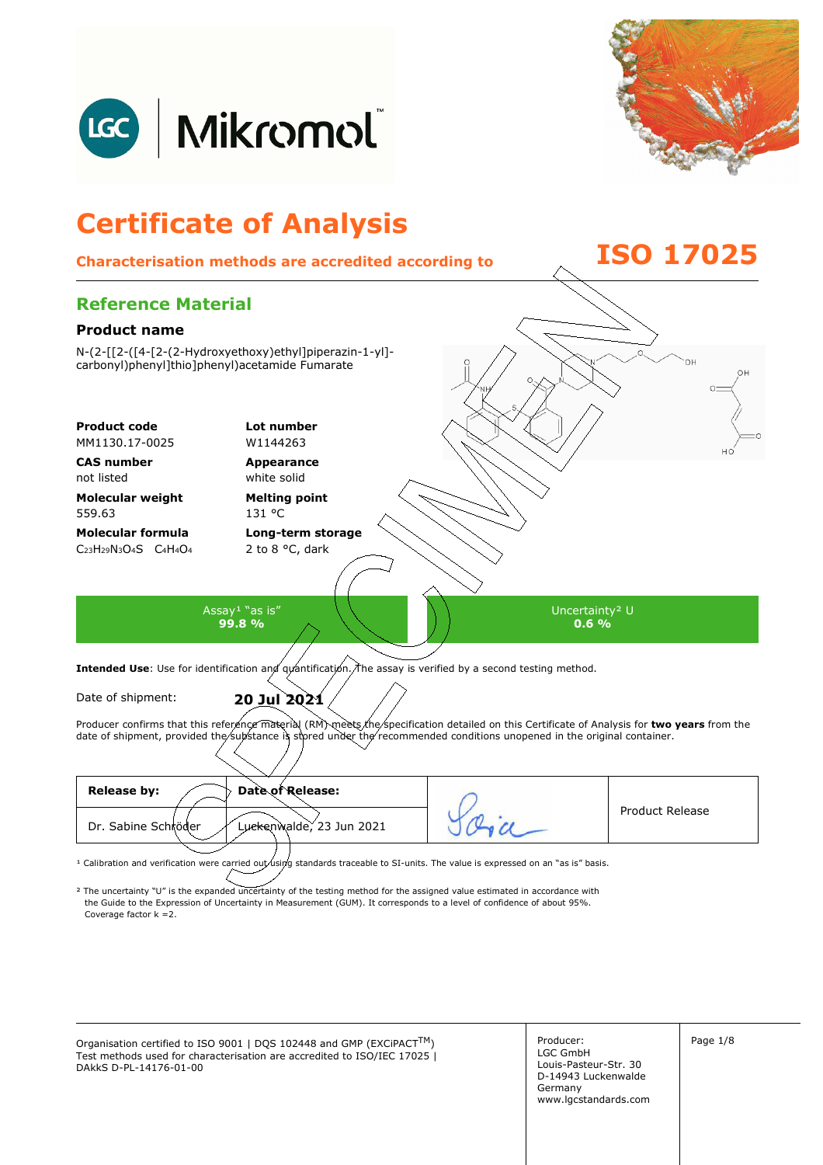





<sup>1</sup> Calibration and verification were carried out using standards traceable to SI-units. The value is expressed on an "as is" basis.

² The uncertainty "U" is the expanded uncertainty of the testing method for the assigned value estimated in accordance with Coverage factor k =2. the Guide to the Expression of Uncertainty in Measurement (GUM). It corresponds to a level of confidence of about 95%.

Organisation certified to ISO 9001 | DQS 102448 and GMP (EXCiPACT<sup>TM</sup>) Producer: Page 1/8 Test methods used for characterisation are accredited to ISO/IEC 17025 | DAkkS D-PL-14176-01-00

Producer: LGC GmbH Louis-Pasteur-Str. 30 D-14943 Luckenwalde Germany www.lgcstandards.com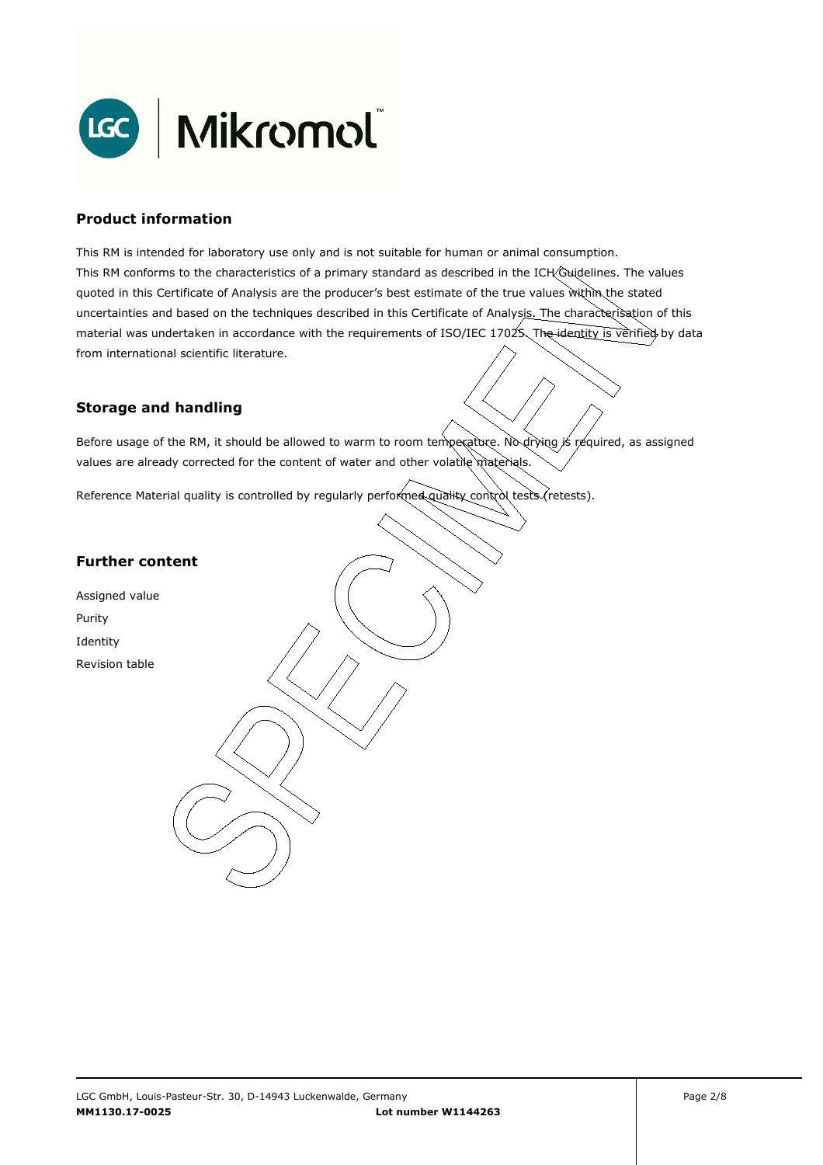

## **Product information**

This RM is intended for laboratory use only and is not suitable for human or animal consumption. This RM conforms to the characteristics of a primary standard as described in the ICH Guidelines. The values quoted in this Certificate of Analysis are the producer's best estimate of the true values within the stated uncertainties and based on the techniques described in this Certificate of Analysis. The characterisation of this material was undertaken in accordance with the requirements of ISO/IEC 17025. The identity is verified by data from international scientific literature.

## **Storage and handling**

Before usage of the RM, it should be allowed to warm to room temperature. No drying is required, as assigned values are already corrected for the content of water and other volatile materials.

Reference Material quality is controlled by regularly performed quality control tests (retests).

### **Further content**

Assigned value Purity Identity Revision table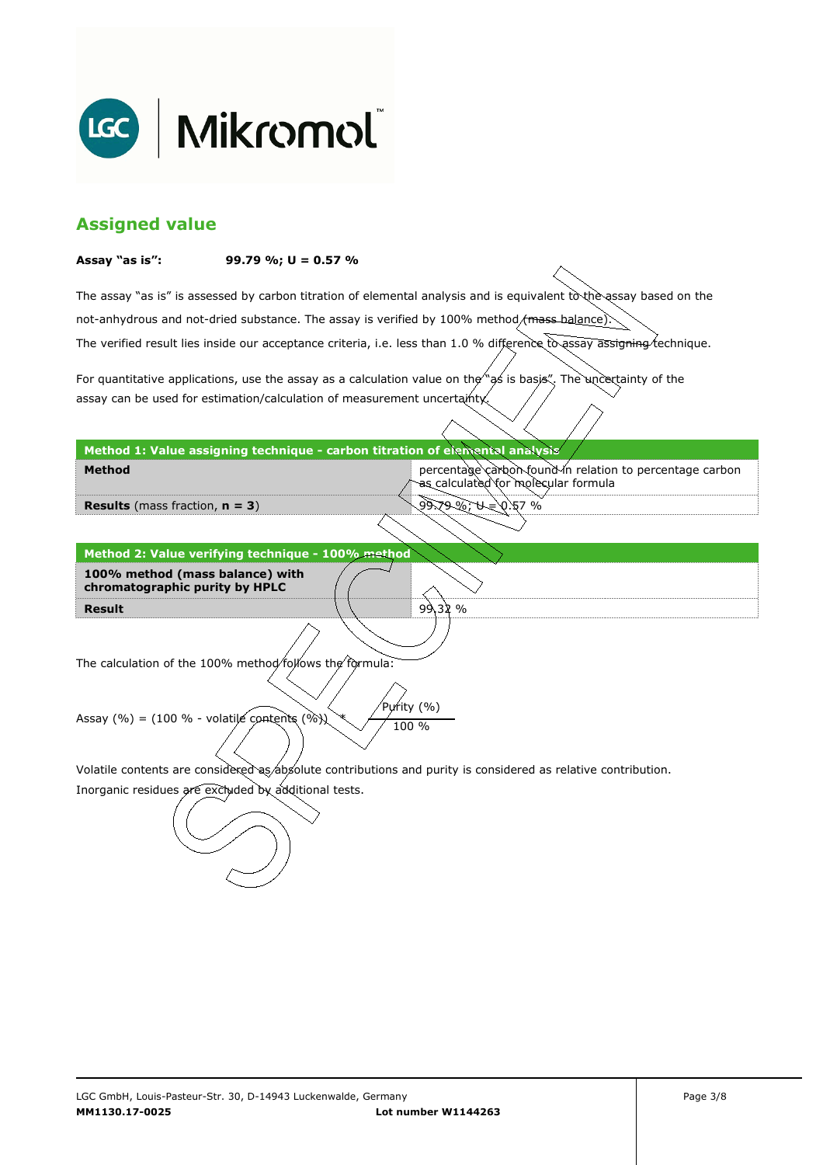

# **Assigned value**

#### **Assay "as is": 99.79 %; U = 0.57 %**

The assay "as is" is assessed by carbon titration of elemental analysis and is equivalent to the assay based on the The verified result lies inside our acceptance criteria, i.e. less than 1.0 % difference to assay assigning technique. not-anhydrous and not-dried substance. The assay is verified by 100% method/mass-balance)

For quantitative applications, use the assay as a calculation value on the  $\gamma$  as is basis". The uncertainty of the assay can be used for estimation/calculation of measurement uncertainty.

#### **Method 1: Value assigning technique - carbon titration of elemental analysis**

percentage carbon found in relation to percentage carbon as calculated for molecular formula

9:79%;�=0.57 %

99.32 %

**Results** (mass fraction, **n = 3**)

**Method** 

**Result Method 2: Value verifying technique - 100% method 100% method (mass balance) with chromatographic purity by HPLC** 

The calculation of the 100% method follows the formula:

Purity (%) Assay (%) = (100 % - volatile contents (%)  $\chi$  / 100 %

Volatile contents are considered as absolute contributions and purity is considered as relative contribution.

Inorganic residues are excluded by additional tests.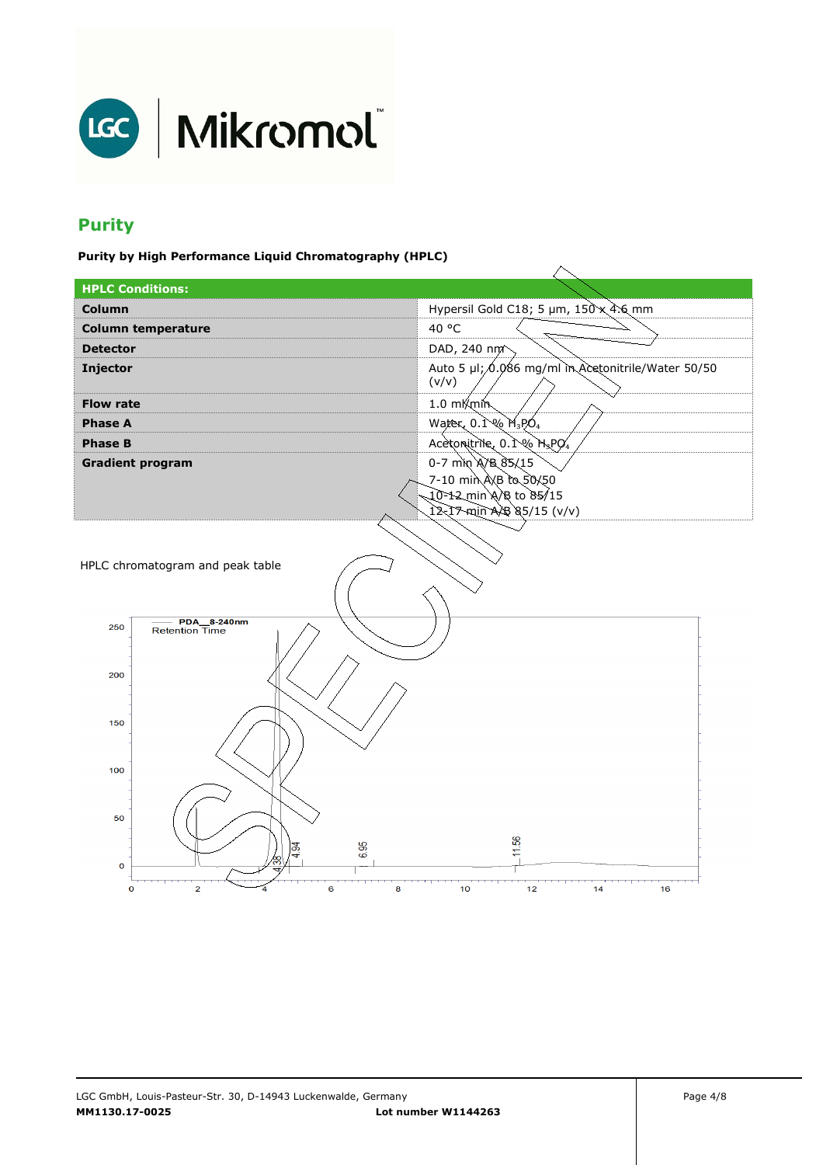

# **Purity**

**Purity by High Performance Liquid Chromatography (HPLC)** 

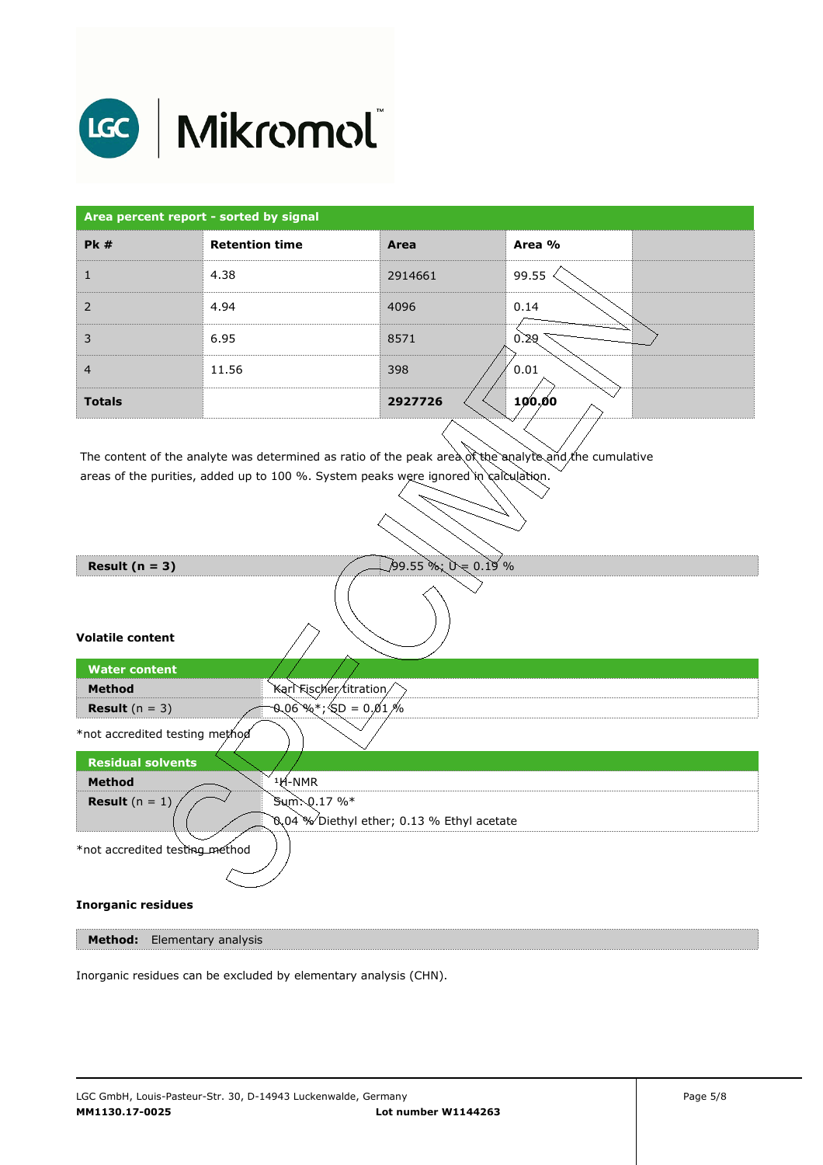

| Area percent report - sorted by signal |                       |         |        |
|----------------------------------------|-----------------------|---------|--------|
| PK#                                    | <b>Retention time</b> | Area    | Area % |
|                                        | 4.38                  | 2914661 | 99.55  |
| $\overline{2}$                         | 4.94                  | 4096    | 0.14   |
| 3                                      | 6.95                  | 8571    | 0.29   |
| $\overline{4}$                         | 11.56                 | 398     | 0.01   |
| <b>Totals</b>                          |                       | 2927726 | 100.00 |

The content of the analyte was determined as ratio of the peak area of the analyte and the cumulative areas of the purities, added up to 100 %. System peaks were ignored in calculation.



**Method:** Elementary analysis

Inorganic residues can be excluded by elementary analysis (CHN).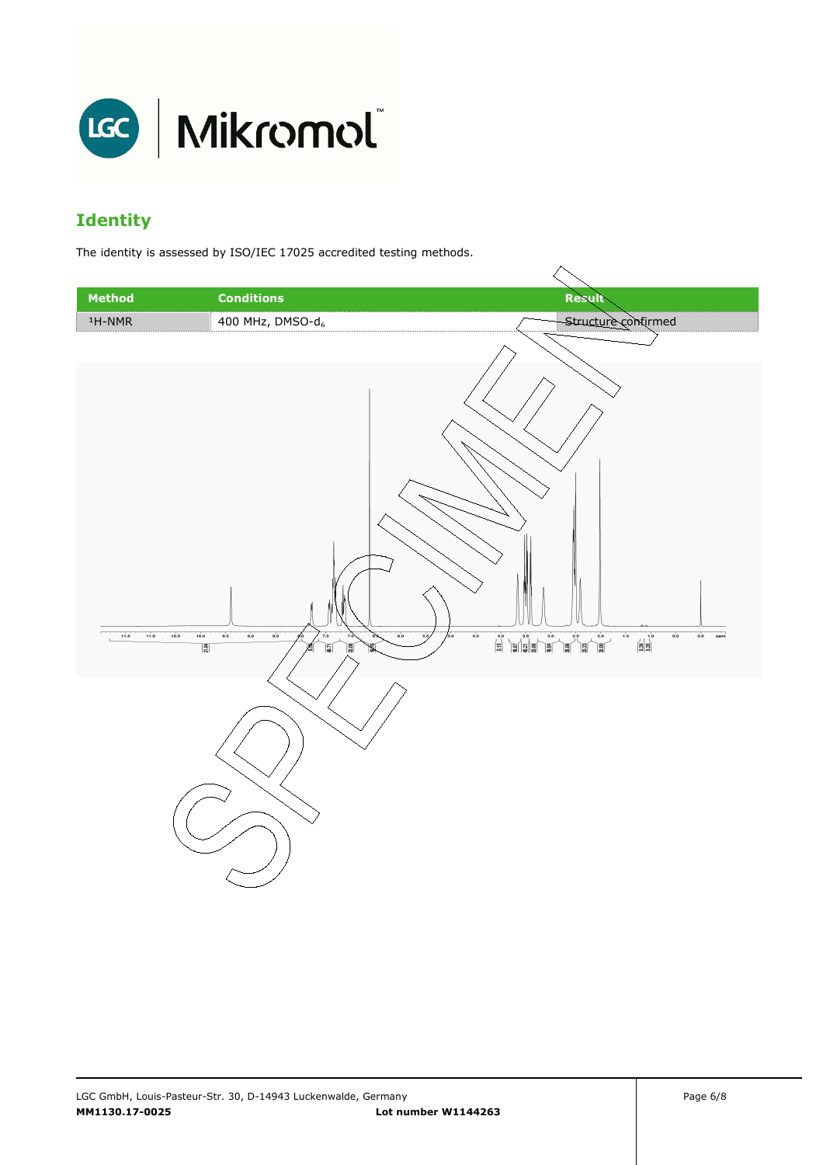

# **Identity**

The identity is assessed by ISO/IEC 17025 accredited testing methods.

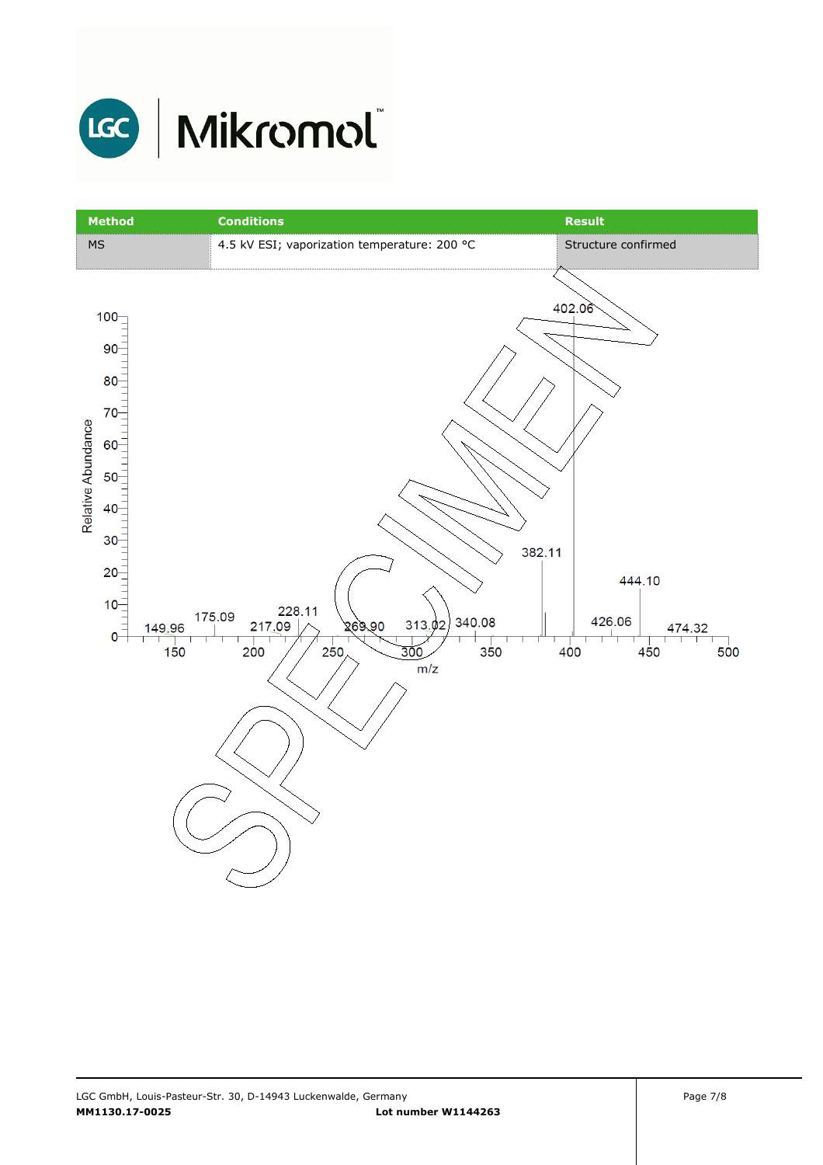